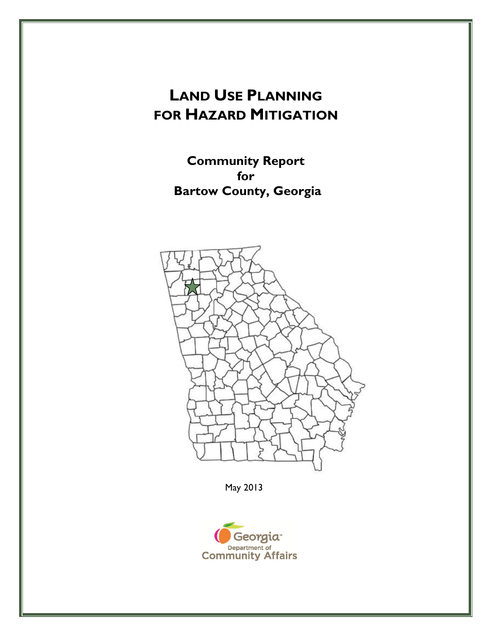## **LAND USE PLANNING FOR HAZARD MITIGATION**

**Community Report for Bartow County, Georgia** 



May 2013

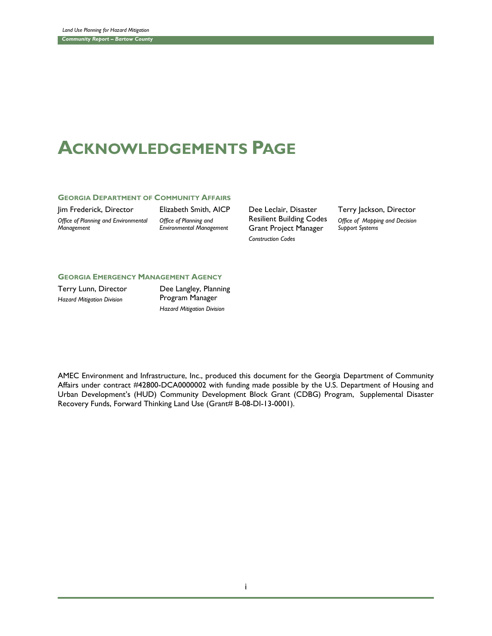## **ACKNOWLEDGEMENTS PAGE**

## **GEORGIA DEPARTMENT OF COMMUNITY AFFAIRS**

Jim Frederick, Director *Office of Planning and Environmental Management*

Elizabeth Smith, AICP *Office of Planning and Environmental Management*

Dee Leclair, Disaster Resilient Building Codes Grant Project Manager *Construction Codes*

Terry Jackson, Director *Office of Mapping and Decision Support Systems*

## **GEORGIA EMERGENCY MANAGEMENT AGENCY**

Terry Lunn, Director *Hazard Mitigation Division*

Dee Langley, Planning Program Manager *Hazard Mitigation Division*

AMEC Environment and Infrastructure, Inc., produced this document for the Georgia Department of Community Affairs under contract #42800-DCA0000002 with funding made possible by the U.S. Department of Housing and Urban Development's (HUD) Community Development Block Grant (CDBG) Program, Supplemental Disaster Recovery Funds, Forward Thinking Land Use (Grant# B-08-DI-13-0001).